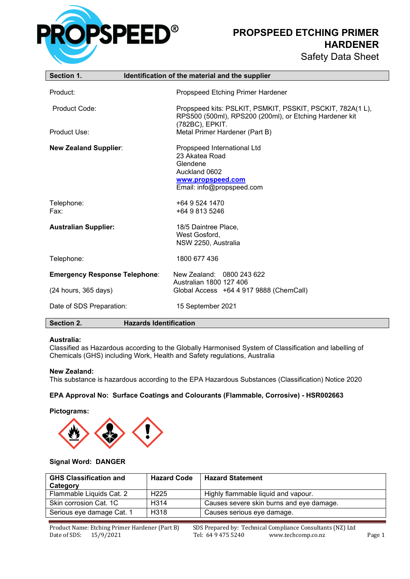

**PROPSPEED ETCHING PRIMER HARDENER**

| <b>Safety Data Sheet</b> |  |
|--------------------------|--|
|--------------------------|--|

| Section 1.                           | Identification of the material and the supplier                                                                              |
|--------------------------------------|------------------------------------------------------------------------------------------------------------------------------|
| Product:                             | Propspeed Etching Primer Hardener                                                                                            |
| Product Code:                        | Propspeed kits: PSLKIT, PSMKIT, PSSKIT, PSCKIT, 782A(1L),<br>RPS500 (500ml), RPS200 (200ml), or Etching Hardener kit         |
| Product Use:                         | (782BC), EPKIT.<br>Metal Primer Hardener (Part B)                                                                            |
| <b>New Zealand Supplier:</b>         | Propspeed International Ltd<br>23 Akatea Road<br>Glendene<br>Auckland 0602<br>www.propspeed.com<br>Email: info@propspeed.com |
| Telephone:<br>Fax:                   | +64 9 524 1470<br>+64 9 813 5246                                                                                             |
| <b>Australian Supplier:</b>          | 18/5 Daintree Place,<br>West Gosford,<br>NSW 2250, Australia                                                                 |
| Telephone:                           | 1800 677 436                                                                                                                 |
| <b>Emergency Response Telephone:</b> | New Zealand: 0800 243 622<br>Australian 1800 127 406                                                                         |
| (24 hours, 365 days)                 | Global Access +64 4 917 9888 (ChemCall)                                                                                      |
| Date of SDS Preparation:             | 15 September 2021                                                                                                            |
| Section 2.                           | <b>Hazards Identification</b>                                                                                                |

## **Australia:**

Classified as Hazardous according to the Globally Harmonised System of Classification and labelling of Chemicals (GHS) including Work, Health and Safety regulations, Australia

#### **New Zealand:**

This substance is hazardous according to the EPA Hazardous Substances (Classification) Notice 2020

## **EPA Approval No: Surface Coatings and Colourants (Flammable, Corrosive) - HSR002663**

#### **Pictograms:**



### **Signal Word: DANGER**

| <b>GHS Classification and</b><br>Category | <b>Hazard Code</b> | <b>Hazard Statement</b>                  |
|-------------------------------------------|--------------------|------------------------------------------|
| Flammable Liquids Cat. 2                  | H <sub>225</sub>   | Highly flammable liquid and vapour.      |
| Skin corrosion Cat. 1C                    | H <sub>3</sub> 14  | Causes severe skin burns and eye damage. |
| Serious eye damage Cat. 1                 | H318               | Causes serious eye damage.               |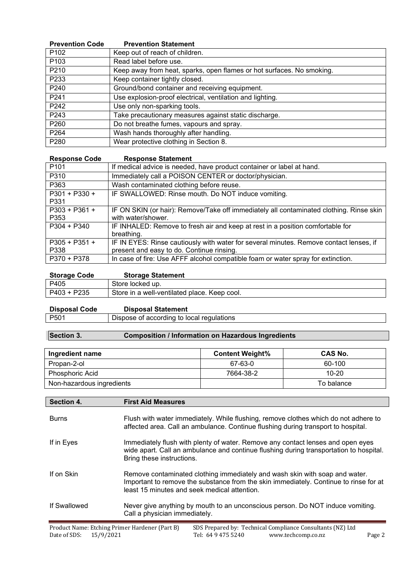| <b>Prevention Code</b> | <b>Prevention Statement</b>                                           |
|------------------------|-----------------------------------------------------------------------|
| P <sub>102</sub>       | Keep out of reach of children.                                        |
| P <sub>103</sub>       | Read label before use.                                                |
| P210                   | Keep away from heat, sparks, open flames or hot surfaces. No smoking. |
| P233                   | Keep container tightly closed.                                        |
| P240                   | Ground/bond container and receiving equipment.                        |
| P241                   | Use explosion-proof electrical, ventilation and lighting.             |
| P242                   | Use only non-sparking tools.                                          |
| P243                   | Take precautionary measures against static discharge.                 |
| P <sub>260</sub>       | Do not breathe fumes, vapours and spray.                              |
| P264                   | Wash hands thoroughly after handling.                                 |
| P280                   | Wear protective clothing in Section 8.                                |

| <b>Response Code</b> | <b>Response Statement</b>                                                               |
|----------------------|-----------------------------------------------------------------------------------------|
| P <sub>101</sub>     | If medical advice is needed, have product container or label at hand.                   |
| P310                 | Immediately call a POISON CENTER or doctor/physician.                                   |
| P363                 | Wash contaminated clothing before reuse.                                                |
| P301 + P330 +        | IF SWALLOWED: Rinse mouth. Do NOT induce vomiting.                                      |
| P331                 |                                                                                         |
| $P303 + P361 +$      | IF ON SKIN (or hair): Remove/Take off immediately all contaminated clothing. Rinse skin |
| P353                 | with water/shower.                                                                      |
| $P304 + P340$        | IF INHALED: Remove to fresh air and keep at rest in a position comfortable for          |
|                      | breathing.                                                                              |
| $P305 + P351 +$      | IF IN EYES: Rinse cautiously with water for several minutes. Remove contact lenses, if  |
| P338                 | present and easy to do. Continue rinsing.                                               |
| P370 + P378          | In case of fire: Use AFFF alcohol compatible foam or water spray for extinction.        |

| <b>Storage Code</b> | <b>Storage Statement</b>                     |
|---------------------|----------------------------------------------|
| P405                | Store locked up.                             |
| P403 + P235         | Store in a well-ventilated place. Keep cool. |

| <b>Disposal Code</b> | <b>Disposal Statement</b>                 |
|----------------------|-------------------------------------------|
| P501                 | Dispose of according to local regulations |

# **Section 3. Composition / Information on Hazardous Ingredients**

| Ingredient name           | <b>Content Weight%</b> | CAS No.    |
|---------------------------|------------------------|------------|
| Propan-2-ol               | 67-63-0                | 60-100     |
| Phosphoric Acid           | 7664-38-2              | $10 - 20$  |
| Non-hazardous ingredients |                        | To balance |

| Section 4.   | <b>First Aid Measures</b>                                                                                                                                                                                            |
|--------------|----------------------------------------------------------------------------------------------------------------------------------------------------------------------------------------------------------------------|
| <b>Burns</b> | Flush with water immediately. While flushing, remove clothes which do not adhere to<br>affected area. Call an ambulance. Continue flushing during transport to hospital.                                             |
| If in Eyes   | Immediately flush with plenty of water. Remove any contact lenses and open eyes<br>wide apart. Call an ambulance and continue flushing during transportation to hospital.<br>Bring these instructions.               |
| If on Skin   | Remove contaminated clothing immediately and wash skin with soap and water.<br>Important to remove the substance from the skin immediately. Continue to rinse for at<br>least 15 minutes and seek medical attention. |
| If Swallowed | Never give anything by mouth to an unconscious person. Do NOT induce vomiting.<br>Call a physician immediately.                                                                                                      |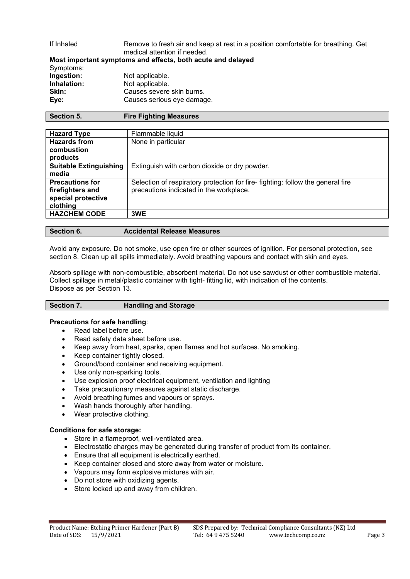## If Inhaled Remove to fresh air and keep at rest in a position comfortable for breathing. Get medical attention if needed.

|             | Most important symptoms and effects, both acute and delayed |
|-------------|-------------------------------------------------------------|
| Symptoms:   |                                                             |
| Ingestion:  | Not applicable.                                             |
| Inhalation: | Not applicable.                                             |
| Skin:       | Causes severe skin burns.                                   |
| Eve:        | Causes serious eye damage.                                  |
|             |                                                             |

| <b>Hazard Type</b>            | Flammable liquid                                                               |
|-------------------------------|--------------------------------------------------------------------------------|
| <b>Hazards from</b>           | None in particular                                                             |
| combustion                    |                                                                                |
| products                      |                                                                                |
| <b>Suitable Extinguishing</b> | Extinguish with carbon dioxide or dry powder.                                  |
| media                         |                                                                                |
| <b>Precautions for</b>        | Selection of respiratory protection for fire-fighting: follow the general fire |
| firefighters and              | precautions indicated in the workplace.                                        |
| special protective            |                                                                                |
| clothing                      |                                                                                |
| <b>HAZCHEM CODE</b>           | 3WE                                                                            |
|                               |                                                                                |

| <b>Section 6.</b> | <b>Accidental Release Measures</b> |
|-------------------|------------------------------------|
|                   |                                    |

Avoid any exposure. Do not smoke, use open fire or other sources of ignition. For personal protection, see section 8. Clean up all spills immediately. Avoid breathing vapours and contact with skin and eyes.

Absorb spillage with non-combustible, absorbent material. Do not use sawdust or other combustible material. Collect spillage in metal/plastic container with tight- fitting lid, with indication of the contents. Dispose as per Section 13.

## **Section 7. Handling and Storage**

## **Precautions for safe handling**:

- Read label before use.
- Read safety data sheet before use.
- Keep away from heat, sparks, open flames and hot surfaces. No smoking.
- Keep container tightly closed.
- Ground/bond container and receiving equipment.
- Use only non-sparking tools.
- Use explosion proof electrical equipment, ventilation and lighting
- Take precautionary measures against static discharge.
- Avoid breathing fumes and vapours or sprays.
- Wash hands thoroughly after handling.
- Wear protective clothing.

## **Conditions for safe storage:**

- Store in a flameproof, well-ventilated area.
- Electrostatic charges may be generated during transfer of product from its container.
- Ensure that all equipment is electrically earthed.
- Keep container closed and store away from water or moisture.
- Vapours may form explosive mixtures with air.
- Do not store with oxidizing agents.
- Store locked up and away from children.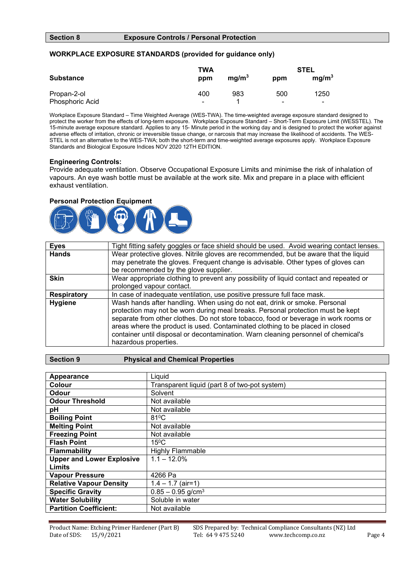## **Section 8 Exposure Controls / Personal Protection**

## **WORKPLACE EXPOSURE STANDARDS (provided for guidance only)**

| <b>Substance</b> | TWA<br>ppm     | mg/m <sup>3</sup> | ppm                      | <b>STEL</b><br>mg/m <sup>3</sup> |
|------------------|----------------|-------------------|--------------------------|----------------------------------|
| Propan-2-ol      | 400            | 983               | 500                      | 1250                             |
| Phosphoric Acid  | $\blacksquare$ |                   | $\overline{\phantom{0}}$ | -                                |

Workplace Exposure Standard – Time Weighted Average (WES-TWA). The time-weighted average exposure standard designed to protect the worker from the effects of long-term exposure. Workplace Exposure Standard – Short-Term Exposure Limit (WESSTEL). The 15-minute average exposure standard. Applies to any 15- Minute period in the working day and is designed to protect the worker against adverse effects of irritation, chronic or irreversible tissue change, or narcosis that may increase the likelihood of accidents. The WES-STEL is not an alternative to the WES-TWA; both the short-term and time-weighted average exposures apply. Workplace Exposure Standards and Biological Exposure Indices NOV 2020 12TH EDITION.

## **Engineering Controls:**

Provide adequate ventilation. Observe Occupational Exposure Limits and minimise the risk of inhalation of vapours. An eye wash bottle must be available at the work site. Mix and prepare in a place with efficient exhaust ventilation.

## **Personal Protection Equipment**



| <b>Eyes</b>        | Tight fitting safety goggles or face shield should be used. Avoid wearing contact lenses.                                                                                                                                                                                                                                                                                                                                                             |
|--------------------|-------------------------------------------------------------------------------------------------------------------------------------------------------------------------------------------------------------------------------------------------------------------------------------------------------------------------------------------------------------------------------------------------------------------------------------------------------|
| <b>Hands</b>       | Wear protective gloves. Nitrile gloves are recommended, but be aware that the liquid                                                                                                                                                                                                                                                                                                                                                                  |
|                    | may penetrate the gloves. Frequent change is advisable. Other types of gloves can                                                                                                                                                                                                                                                                                                                                                                     |
|                    | be recommended by the glove supplier.                                                                                                                                                                                                                                                                                                                                                                                                                 |
| <b>Skin</b>        | Wear appropriate clothing to prevent any possibility of liquid contact and repeated or                                                                                                                                                                                                                                                                                                                                                                |
|                    | prolonged vapour contact.                                                                                                                                                                                                                                                                                                                                                                                                                             |
| <b>Respiratory</b> | In case of inadequate ventilation, use positive pressure full face mask.                                                                                                                                                                                                                                                                                                                                                                              |
| <b>Hygiene</b>     | Wash hands after handling. When using do not eat, drink or smoke. Personal<br>protection may not be worn during meal breaks. Personal protection must be kept<br>separate from other clothes. Do not store tobacco, food or beverage in work rooms or<br>areas where the product is used. Contaminated clothing to be placed in closed<br>container until disposal or decontamination. Warn cleaning personnel of chemical's<br>hazardous properties. |

## **Section 9 Physical and Chemical Properties**

| <b>Appearance</b>                | Liquid                                        |
|----------------------------------|-----------------------------------------------|
| Colour                           | Transparent liquid (part 8 of two-pot system) |
| Odour                            | Solvent                                       |
| <b>Odour Threshold</b>           | Not available                                 |
| pH                               | Not available                                 |
| <b>Boiling Point</b>             | $81^{\circ}$ C                                |
| <b>Melting Point</b>             | Not available                                 |
| <b>Freezing Point</b>            | Not available                                 |
| <b>Flash Point</b>               | $15^{\circ}$ C                                |
| <b>Flammability</b>              | <b>Highly Flammable</b>                       |
| <b>Upper and Lower Explosive</b> | $1.1 - 12.0\%$                                |
| <b>Limits</b>                    |                                               |
| <b>Vapour Pressure</b>           | 4266 Pa                                       |
| <b>Relative Vapour Density</b>   | $1.4 - 1.7$ (air=1)                           |
| <b>Specific Gravity</b>          | $0.85 - 0.95$ g/cm <sup>3</sup>               |
| <b>Water Solubility</b>          | Soluble in water                              |
| <b>Partition Coefficient:</b>    | Not available                                 |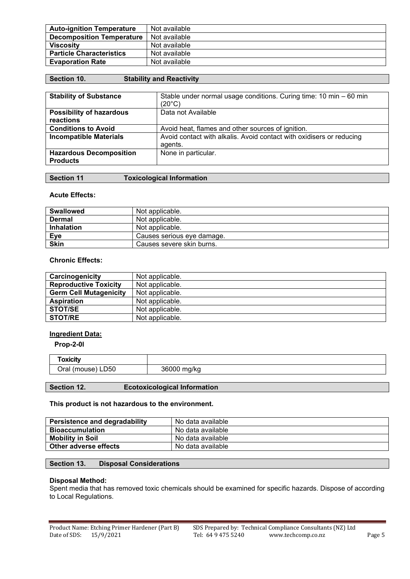| <b>Auto-ignition Temperature</b> | Not available |
|----------------------------------|---------------|
| <b>Decomposition Temperature</b> | Not available |
| <b>Viscosity</b>                 | Not available |
| <b>Particle Characteristics</b>  | Not available |
| <b>Evaporation Rate</b>          | Not available |

| <b>Section 10.</b> | <b>Stability and Reactivity</b> |
|--------------------|---------------------------------|
|--------------------|---------------------------------|

| <b>Stability of Substance</b>                     | Stable under normal usage conditions. Curing time: 10 min - 60 min<br>$(20^{\circ}C)$ |
|---------------------------------------------------|---------------------------------------------------------------------------------------|
| <b>Possibility of hazardous</b><br>reactions      | Data not Available                                                                    |
| <b>Conditions to Avoid</b>                        | Avoid heat, flames and other sources of ignition.                                     |
| <b>Incompatible Materials</b>                     | Avoid contact with alkalis. Avoid contact with oxidisers or reducing<br>agents.       |
| <b>Hazardous Decomposition</b><br><b>Products</b> | None in particular.                                                                   |

| Section 11 | <b>Toxicological Information</b> |  |
|------------|----------------------------------|--|
|------------|----------------------------------|--|

## **Acute Effects:**

| <b>Swallowed</b>  | Not applicable.            |
|-------------------|----------------------------|
| <b>Dermal</b>     | Not applicable.            |
| <b>Inhalation</b> | Not applicable.            |
| Eye               | Causes serious eye damage. |
| <b>Skin</b>       | Causes severe skin burns.  |

## **Chronic Effects:**

| Carcinogenicity               | Not applicable. |
|-------------------------------|-----------------|
| <b>Reproductive Toxicity</b>  | Not applicable. |
| <b>Germ Cell Mutagenicity</b> | Not applicable. |
| <b>Aspiration</b>             | Not applicable. |
| <b>STOT/SE</b>                | Not applicable. |
| <b>STOT/RE</b>                | Not applicable. |

## **Ingredient Data:**

**Prop-2-0l**

| LD50<br>)ro<br>1921<br>(1110use | .<br>"<br>$\sim$<br>11/<br>$\cdot$ K<br> |
|---------------------------------|------------------------------------------|

## **Section 12. Ecotoxicological Information**

## **This product is not hazardous to the environment.**

| <b>Persistence and degradability</b> | No data available |
|--------------------------------------|-------------------|
| Bioaccumulation                      | No data available |
| <b>Mobility in Soil</b>              | No data available |
| Other adverse effects                | No data available |

## **Section 13. Disposal Considerations**

#### **Disposal Method:**

Spent media that has removed toxic chemicals should be examined for specific hazards. Dispose of according to Local Regulations.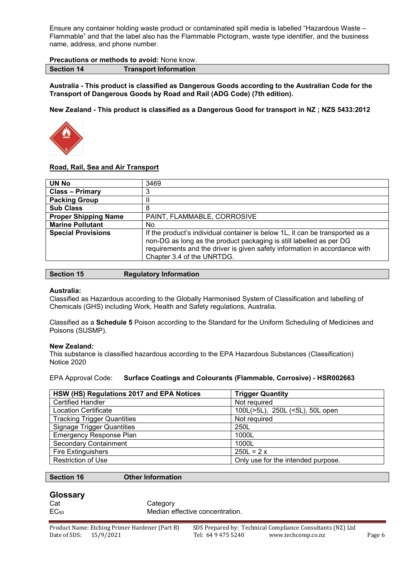Ensure any container holding waste product or contaminated spill media is labelled "Hazardous Waste – Flammable" and that the label also has the Flammable Pictogram, waste type identifier, and the business name, address, and phone number.

## **Precautions or methods to avoid:** None know.

**Section 14 Transport Information**

**Australia - This product is classified as Dangerous Goods according to the Australian Code for the Transport of Dangerous Goods by Road and Rail (ADG Code) (7th edition).**

**New Zealand - This product is classified as a Dangerous Good for transport in NZ ; NZS 5433:2012**



## **Road, Rail, Sea and Air Transport**

| UN No                       | 3469                                                                                                                                                                                                                                                             |
|-----------------------------|------------------------------------------------------------------------------------------------------------------------------------------------------------------------------------------------------------------------------------------------------------------|
| <b>Class - Primary</b>      |                                                                                                                                                                                                                                                                  |
| <b>Packing Group</b>        |                                                                                                                                                                                                                                                                  |
| <b>Sub Class</b>            | 8                                                                                                                                                                                                                                                                |
| <b>Proper Shipping Name</b> | PAINT, FLAMMABLE, CORROSIVE                                                                                                                                                                                                                                      |
| <b>Marine Pollutant</b>     | No                                                                                                                                                                                                                                                               |
| <b>Special Provisions</b>   | If the product's individual container is below 1L, it can be transported as a<br>non-DG as long as the product packaging is still labelled as per DG<br>requirements and the driver is given safety information in accordance with<br>Chapter 3.4 of the UNRTDG. |

| <b>Section 15</b> | <b>Regulatory Information</b> |
|-------------------|-------------------------------|
|-------------------|-------------------------------|

### **Australia:**

Classified as Hazardous according to the Globally Harmonised System of Classification and labelling of Chemicals (GHS) including Work, Health and Safety regulations, Australia.

Classified as a **Schedule 5** Poison according to the Standard for the Uniform Scheduling of Medicines and Poisons (SUSMP).

## **New Zealand:**

This substance is classified hazardous according to the EPA Hazardous Substances (Classification) Notice 2020

## EPA Approval Code: **Surface Coatings and Colourants (Flammable, Corrosive) - HSR002663**

| HSW (HS) Regulations 2017 and EPA Notices | <b>Trigger Quantity</b>            |
|-------------------------------------------|------------------------------------|
| <b>Certified Handler</b>                  | Not required                       |
| <b>Location Certificate</b>               | 100L(>5L), 250L (<5L), 50L open    |
| <b>Tracking Trigger Quantities</b>        | Not required                       |
| <b>Signage Trigger Quantities</b>         | 250L                               |
| <b>Emergency Response Plan</b>            | 1000L                              |
| <b>Secondary Containment</b>              | 1000L                              |
| <b>Fire Extinguishers</b>                 | $250L = 2x$                        |
| <b>Restriction of Use</b>                 | Only use for the intended purpose. |

### **Section 16 Other Information**

## **Glossary**

| $EC_{50}$ | Cat | Category<br>Median effective concentration. |
|-----------|-----|---------------------------------------------|
|-----------|-----|---------------------------------------------|